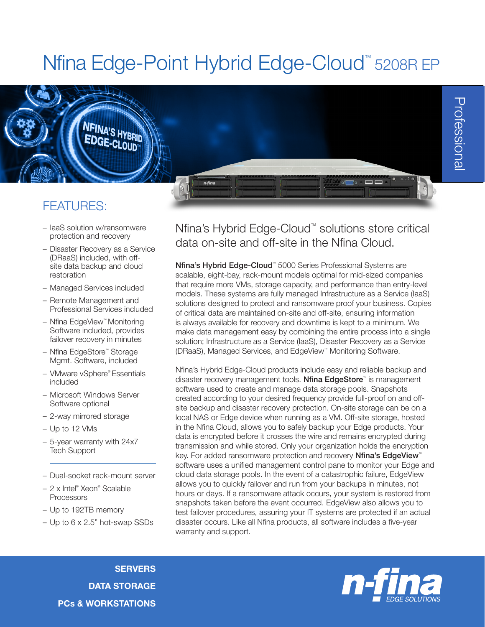# Nfina Edge-Point Hybrid Edge-Cloud<sup>™</sup> 5208R EP

### FEATURES:

– IaaS solution w/ransomware protection and recovery

**NFINA'S HYBRID** 

- Disaster Recovery as a Service (DRaaS) included, with offsite data backup and cloud restoration
- Managed Services included
- Remote Management and Professional Services included
- Nfina EdgeView™ Monitoring Software included, provides failover recovery in minutes
- Nfina EdgeStore™ Storage Mgmt. Software, included
- VMware vSphere® Essentials included
- Microsoft Windows Server Software optional
- 2-way mirrored storage
- Up to 12 VMs
- 5-year warranty with 24x7 Tech Support
- Dual-socket rack-mount server
- 2 x Intel® Xeon® Scalable **Processors**
- Up to 192TB memory
- Up to 6 x 2.5" hot-swap SSDs

Nfina's Hybrid Edge-Cloud™ solutions store critical data on-site and off-site in the Nfina Cloud.

Nfina's Hybrid Edge-Cloud<sup>™</sup> 5000 Series Professional Systems are scalable, eight-bay, rack-mount models optimal for mid-sized companies that require more VMs, storage capacity, and performance than entry-level models. These systems are fully managed Infrastructure as a Service (IaaS) solutions designed to protect and ransomware proof your business. Copies of critical data are maintained on-site and off-site, ensuring information is always available for recovery and downtime is kept to a minimum. We make data management easy by combining the entire process into a single solution; Infrastructure as a Service (IaaS), Disaster Recovery as a Service (DRaaS), Managed Services, and EdgeView™ Monitoring Software.

Nfina's Hybrid Edge-Cloud products include easy and reliable backup and disaster recovery management tools. Nfina EdgeStore™ is management software used to create and manage data storage pools. Snapshots created according to your desired frequency provide full-proof on and offsite backup and disaster recovery protection. On-site storage can be on a local NAS or Edge device when running as a VM. Off-site storage, hosted in the Nfina Cloud, allows you to safely backup your Edge products. Your data is encrypted before it crosses the wire and remains encrypted during transmission and while stored. Only your organization holds the encryption key. For added ransomware protection and recovery **Nfina's EdgeView**<sup>™</sup> software uses a unified management control pane to monitor your Edge and cloud data storage pools. In the event of a catastrophic failure, EdgeView allows you to quickly failover and run from your backups in minutes, not hours or days. If a ransomware attack occurs, your system is restored from snapshots taken before the event occurred. EdgeView also allows you to test failover procedures, assuring your IT systems are protected if an actual disaster occurs. Like all Nfina products, all software includes a five-year warranty and support.

**SERVERS** DATA STORAGE PCs & WORKSTATIONS

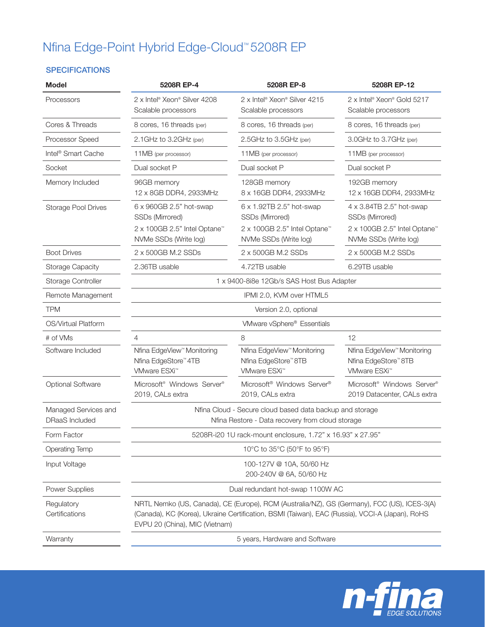# Nfina Edge-Point Hybrid Edge-Cloud™ 5208R EP

#### **SPECIFICATIONS**

| <b>Model</b>                           | 5208R EP-4                                                                                                                                                                                                                      | 5208R EP-8                                                                                             | 5208R EP-12                                                                                            |  |
|----------------------------------------|---------------------------------------------------------------------------------------------------------------------------------------------------------------------------------------------------------------------------------|--------------------------------------------------------------------------------------------------------|--------------------------------------------------------------------------------------------------------|--|
| Processors                             | 2 x Intel <sup>®</sup> Xeon <sup>®</sup> Silver 4208<br>Scalable processors                                                                                                                                                     | 2 x Intel <sup>®</sup> Xeon <sup>®</sup> Silver 4215<br>Scalable processors                            | 2 x Intel <sup>®</sup> Xeon® Gold 5217<br>Scalable processors                                          |  |
| Cores & Threads                        | 8 cores, 16 threads (per)                                                                                                                                                                                                       | 8 cores, 16 threads (per)                                                                              | 8 cores, 16 threads (per)                                                                              |  |
| Processor Speed                        | 2.1GHz to 3.2GHz (per)                                                                                                                                                                                                          | 2.5GHz to 3.5GHz (per)                                                                                 | 3.0GHz to 3.7GHz (per)                                                                                 |  |
| Intel <sup>®</sup> Smart Cache         | 11MB (per processor)                                                                                                                                                                                                            | 11MB (per processor)                                                                                   | 11MB (per processor)                                                                                   |  |
| Socket                                 | Dual socket P                                                                                                                                                                                                                   | Dual socket P                                                                                          | Dual socket P                                                                                          |  |
| Memory Included                        | 96GB memory<br>12 x 8GB DDR4, 2933MHz                                                                                                                                                                                           | 128GB memory<br>8 x 16GB DDR4, 2933MHz                                                                 | 192GB memory<br>12 x 16GB DDR4, 2933MHz                                                                |  |
| <b>Storage Pool Drives</b>             | 6 x 960GB 2.5" hot-swap<br>SSDs (Mirrored)<br>2 x 100GB 2.5" Intel Optane™<br>NVMe SSDs (Write log)                                                                                                                             | 6 x 1.92TB 2.5" hot-swap<br>SSDs (Mirrored)<br>2 x 100GB 2.5" Intel Optane™<br>NVMe SSDs (Write log)   | 4 x 3.84TB 2.5" hot-swap<br>SSDs (Mirrored)<br>2 x 100GB 2.5" Intel Optane™<br>NVMe SSDs (Write log)   |  |
| <b>Boot Drives</b>                     | 2 x 500GB M.2 SSDs                                                                                                                                                                                                              | 2 x 500GB M.2 SSDs                                                                                     | 2 x 500GB M.2 SSDs                                                                                     |  |
| <b>Storage Capacity</b>                | 2.36TB usable                                                                                                                                                                                                                   | 4.72TB usable                                                                                          | 6.29TB usable                                                                                          |  |
| Storage Controller                     | 1 x 9400-8i8e 12Gb/s SAS Host Bus Adapter                                                                                                                                                                                       |                                                                                                        |                                                                                                        |  |
| Remote Management                      | IPMI 2.0, KVM over HTML5                                                                                                                                                                                                        |                                                                                                        |                                                                                                        |  |
| <b>TPM</b>                             |                                                                                                                                                                                                                                 | Version 2.0, optional                                                                                  |                                                                                                        |  |
| OS/Virtual Platform                    |                                                                                                                                                                                                                                 | VMware vSphere® Essentials                                                                             |                                                                                                        |  |
| # of VMs                               | $\overline{4}$                                                                                                                                                                                                                  | 8                                                                                                      | 12                                                                                                     |  |
| Software Included                      | Nfina EdgeView <sup>™</sup> Monitoring<br>Nfina EdgeStore <sup>™</sup> 4TB<br>VMware ESXi <sup>™</sup>                                                                                                                          | Nfina EdgeView <sup>™</sup> Monitoring<br>Nfina EdgeStore <sup>™</sup> 8TB<br>VMware ESXi <sup>™</sup> | Nfina EdgeView <sup>™</sup> Monitoring<br>Nfina EdgeStore <sup>™</sup> 8TB<br>VMware ESXi <sup>™</sup> |  |
| <b>Optional Software</b>               | Microsoft <sup>®</sup> Windows Server <sup>®</sup><br>2019, CALs extra                                                                                                                                                          | Microsoft <sup>®</sup> Windows Server <sup>®</sup><br>2019, CALs extra                                 | Microsoft <sup>®</sup> Windows Server <sup>®</sup><br>2019 Datacenter, CALs extra                      |  |
| Managed Services and<br>DRaaS Included | Nfina Cloud - Secure cloud based data backup and storage<br>Nfina Restore - Data recovery from cloud storage                                                                                                                    |                                                                                                        |                                                                                                        |  |
| Form Factor                            | 5208R-i20 1U rack-mount enclosure, 1.72" x 16.93" x 27.95"                                                                                                                                                                      |                                                                                                        |                                                                                                        |  |
| <b>Operating Temp</b>                  | 10°C to 35°C (50°F to 95°F)                                                                                                                                                                                                     |                                                                                                        |                                                                                                        |  |
| Input Voltage                          | 100-127V @ 10A, 50/60 Hz<br>200-240V @ 6A, 50/60 Hz                                                                                                                                                                             |                                                                                                        |                                                                                                        |  |
| Power Supplies                         | Dual redundant hot-swap 1100W AC                                                                                                                                                                                                |                                                                                                        |                                                                                                        |  |
| Regulatory<br>Certifications           | NRTL Nemko (US, Canada), CE (Europe), RCM (Australia/NZ), GS (Germany), FCC (US), ICES-3(A)<br>(Canada), KC (Korea), Ukraine Certification, BSMI (Taiwan), EAC (Russia), VCCI-A (Japan), RoHS<br>EVPU 20 (China), MIC (Vietnam) |                                                                                                        |                                                                                                        |  |
| Warranty                               | 5 years, Hardware and Software                                                                                                                                                                                                  |                                                                                                        |                                                                                                        |  |